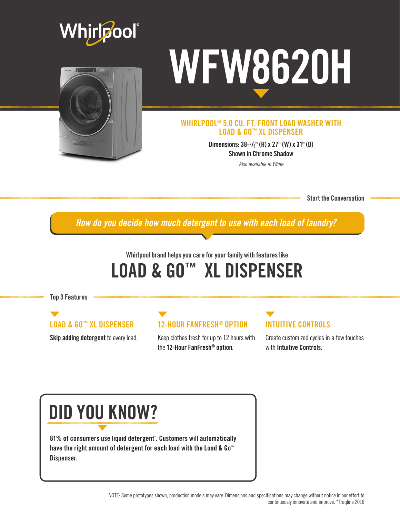



# WFW8620H

#### WHIRLPOOL® 5.0 CU. FT. FRONT LOAD WASHER WITH LOAD & GO™ XL DISPENSER

Dimensions: 38-5 /8" (H) x 27" (W) x 31" (D) Shown in Chrome Shadow

*Also available in White*

Start the Conversation

*How do you decide how much detergent to use with each load of laundry?*

## Whirlpool brand helps you care for your family with features like LOAD & GO™ XL DISPENSER

Top 3 Features

## LOAD & GO™ XL DISPENSER

Skip adding detergent to every load.

#### 12-HOUR FANFRESH® OPTION

Keep clothes fresh for up to 12 hours with the 12-Hour FanFresh® option.

## INTUITIVE CONTROLS

Create customized cycles in a few touches with Intuitive Controls.

## DID YOU KNOW?

81% of consumers use liquid detergent\* . Customers will automatically have the right amount of detergent for each load with the Load & Go™ Dispenser.